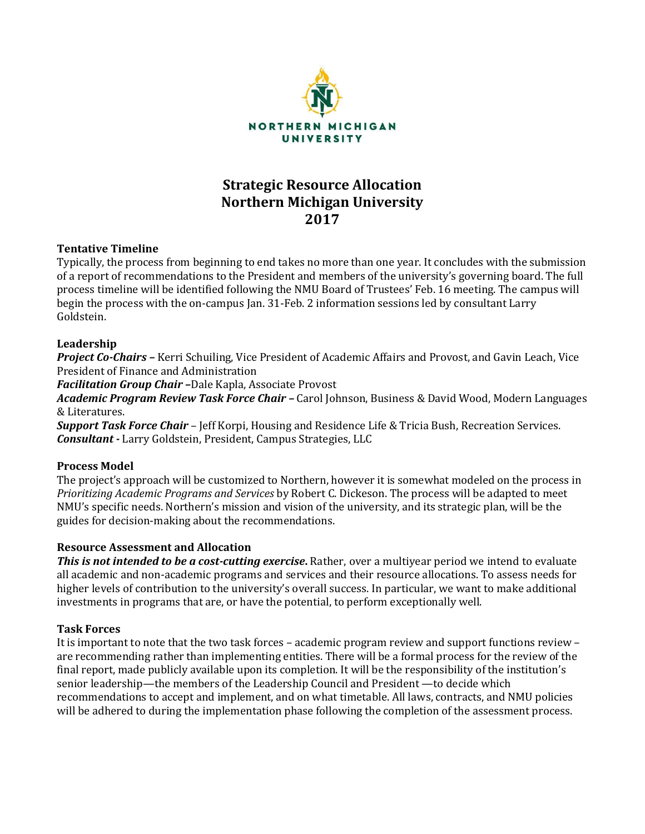

# **Strategic Resource Allocation Northern Michigan University 2017**

# **Tentative Timeline**

Typically, the process from beginning to end takes no more than one year. It concludes with the submission of a report of recommendations to the President and members of the university's governing board. The full process timeline will be identified following the NMU Board of Trustees' Feb. 16 meeting. The campus will begin the process with the on-campus Jan. 31-Feb. 2 information sessions led by consultant Larry Goldstein.

# **Leadership**

*Project Co-Chairs –* Kerri Schuiling, Vice President of Academic Affairs and Provost, and Gavin Leach, Vice President of Finance and Administration

*Facilitation Group Chair –*Dale Kapla, Associate Provost

*Academic Program Review Task Force Chair –* Carol Johnson, Business & David Wood, Modern Languages & Literatures.

*Support Task Force Chair* – Jeff Korpi, Housing and Residence Life & Tricia Bush, Recreation Services. *Consultant -* Larry Goldstein, President, Campus Strategies, LLC

# **Process Model**

The project's approach will be customized to Northern, however it is somewhat modeled on the process in *Prioritizing Academic Programs and Services* by Robert C. Dickeson. The process will be adapted to meet NMU's specific needs. Northern's mission and vision of the university, and its strategic plan, will be the guides for decision-making about the recommendations.

# **Resource Assessment and Allocation**

*This is not intended to be a cost-cutting exercise***.** Rather, over a multiyear period we intend to evaluate all academic and non-academic programs and services and their resource allocations. To assess needs for higher levels of contribution to the university's overall success. In particular, we want to make additional investments in programs that are, or have the potential, to perform exceptionally well.

# **Task Forces**

It is important to note that the two task forces – academic program review and support functions review – are recommending rather than implementing entities. There will be a formal process for the review of the final report, made publicly available upon its completion. It will be the responsibility of the institution's senior leadership—the members of the Leadership Council and President —to decide which recommendations to accept and implement, and on what timetable. All laws, contracts, and NMU policies will be adhered to during the implementation phase following the completion of the assessment process.